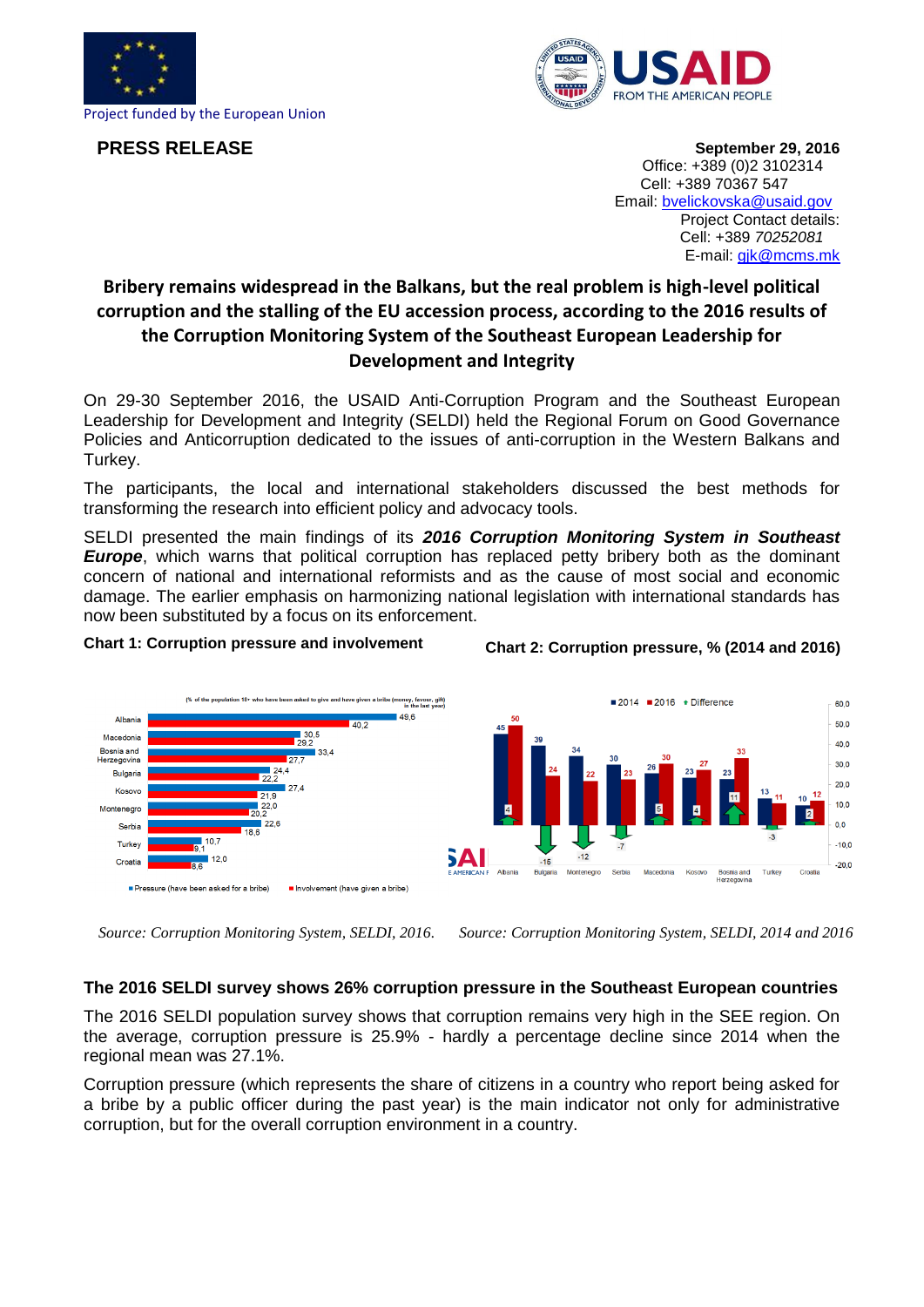

**PRESS RELEASE**



**September 29, 2016** Office: +389 (0)2 3102314 Cell: +389 70367 547 Email: [bvelickovska@usaid.gov](mailto:bvelickovska@usaid.gov) Project Contact details: Cell: +389 *[70252081](tel:%2B389%2070%20290%20122)*  E-mail: [gjk@mcms.mk](mailto:gjk@mcms.mk)

## **Bribery remains widespread in the Balkans, but the real problem is high-level political corruption and the stalling of the EU accession process, according to the 2016 results of the Corruption Monitoring System of the Southeast European Leadership for Development and Integrity**

On 29-30 September 2016, the USAID Anti-Corruption Program and the Southeast European Leadership for Development and Integrity (SELDI) held the Regional Forum on Good Governance Policies and Anticorruption dedicated to the issues of anti-corruption in the Western Balkans and Turkey.

The participants, the local and international stakeholders discussed the best methods for transforming the research into efficient policy and advocacy tools.

SELDI presented the main findings of its *2016 Corruption Monitoring System in Southeast Europe*, which warns that political corruption has replaced petty bribery both as the dominant concern of national and international reformists and as the cause of most social and economic damage. The earlier emphasis on harmonizing national legislation with international standards has now been substituted by a focus on its enforcement.

## **Chart 1: Corruption pressure and involvement**





*Source: Corruption Monitoring System, SELDI, 2016. Source: Corruption Monitoring System, SELDI, 2014 and 2016*

## **The 2016 SELDI survey shows 26% corruption pressure in the Southeast European countries**

The 2016 SELDI population survey shows that corruption remains very high in the SEE region. On the average, corruption pressure is 25.9% - hardly a percentage decline since 2014 when the regional mean was 27.1%.

Corruption pressure (which represents the share of citizens in a country who report being asked for a bribe by a public officer during the past year) is the main indicator not only for administrative corruption, but for the overall corruption environment in a country.